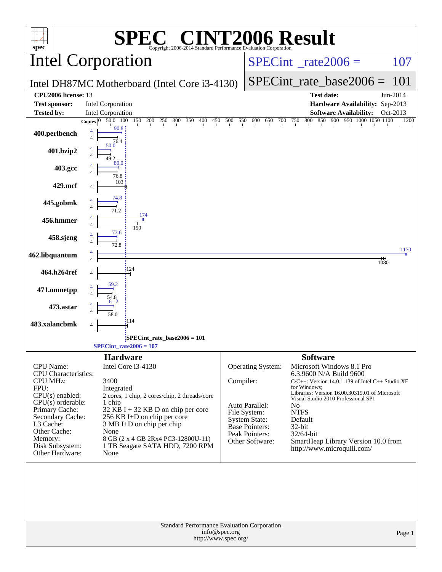|                                                | <b>EC® CINT2006 Result</b>                                                           |           |                                  |                                                                                    |          |
|------------------------------------------------|--------------------------------------------------------------------------------------|-----------|----------------------------------|------------------------------------------------------------------------------------|----------|
| $spec^*$                                       | Copyright 2006-2014 Standard Performance Evaluation Corporation<br>Intel Corporation |           |                                  | $SPECint^{\circ}$ <sub>_rate2006</sub> =                                           | 107      |
|                                                | Intel DH87MC Motherboard (Intel Core i3-4130)                                        |           |                                  | $SPECint_rate\_base2006 =$                                                         | 101      |
| CPU2006 license: 13                            |                                                                                      |           |                                  | Test date:                                                                         | Jun-2014 |
| <b>Test sponsor:</b>                           | <b>Intel Corporation</b>                                                             |           |                                  | Hardware Availability: Sep-2013                                                    |          |
| <b>Tested by:</b>                              | Intel Corporation                                                                    |           |                                  | <b>Software Availability:</b>                                                      | Oct-2013 |
| 400.perlbench                                  | 50.0 100<br>Copies $ 0 $<br>90.8<br>$\overline{4}$<br>76.4                           |           |                                  | 150 200 250 300 350 400 450 500 550 600 650 700 750 800 850 900 950 1000 1050 1100 | 1200     |
| 401.bzip2                                      | 50.0                                                                                 |           |                                  |                                                                                    |          |
| 403.gcc                                        | 80.0<br>76.8                                                                         |           |                                  |                                                                                    |          |
| 429.mcf                                        | 103                                                                                  |           |                                  |                                                                                    |          |
| 445.gobmk                                      | 74.8                                                                                 |           |                                  |                                                                                    |          |
| 456.hmmer                                      | 174<br>150                                                                           |           |                                  |                                                                                    |          |
| 458.sjeng                                      | 73.6                                                                                 |           |                                  |                                                                                    |          |
| 462.libquantum                                 |                                                                                      |           |                                  | 1080                                                                               | 1170     |
| 464.h264ref                                    | 124                                                                                  |           |                                  |                                                                                    |          |
| 471.omnetpp                                    |                                                                                      |           |                                  |                                                                                    |          |
| 473.astar                                      |                                                                                      |           |                                  |                                                                                    |          |
| 483.xalancbmk                                  | 114<br>4                                                                             |           |                                  |                                                                                    |          |
|                                                | SPECint_rate_base2006 = 101<br>$SPECint_rate2006 = 107$                              |           |                                  |                                                                                    |          |
|                                                | <b>Hardware</b>                                                                      |           |                                  | <b>Software</b>                                                                    |          |
| CPU Name:                                      | Intel Core i3-4130                                                                   |           | <b>Operating System:</b>         | Microsoft Windows 8.1 Pro                                                          |          |
| <b>CPU</b> Characteristics:<br><b>CPU MHz:</b> | 3400                                                                                 | Compiler: |                                  | 6.3.9600 N/A Build 9600<br>$C/C++$ : Version 14.0.1.139 of Intel $C++$ Studio XE   |          |
| FPU:                                           | Integrated                                                                           |           |                                  | for Windows:<br>Libraries: Version 16.00.30319.01 of Microsoft                     |          |
| $CPU(s)$ enabled:<br>$CPU(s)$ orderable:       | 2 cores, 1 chip, 2 cores/chip, 2 threads/core<br>1 chip                              |           | Auto Parallel:                   | Visual Studio 2010 Professional SP1<br>N <sub>0</sub>                              |          |
| Primary Cache:                                 | $32$ KB I + 32 KB D on chip per core                                                 |           | File System:                     | <b>NTFS</b>                                                                        |          |
| Secondary Cache:<br>L3 Cache:                  | 256 KB I+D on chip per core<br>3 MB I+D on chip per chip                             |           | <b>System State:</b>             | Default                                                                            |          |
| Other Cache:                                   | None                                                                                 |           | Base Pointers:<br>Peak Pointers: | 32-bit<br>32/64-bit                                                                |          |
| Memory:<br>Disk Subsystem:                     | 8 GB (2 x 4 GB 2Rx4 PC3-12800U-11)<br>1 TB Seagate SATA HDD, 7200 RPM                |           | Other Software:                  | SmartHeap Library Version 10.0 from<br>http://www.microquill.com/                  |          |
| Other Hardware:                                | None                                                                                 |           |                                  |                                                                                    |          |
|                                                |                                                                                      |           |                                  |                                                                                    |          |
|                                                | Standard Performance Evaluation Corporation<br>info@spec.org                         |           |                                  |                                                                                    | Page 1   |
|                                                | http://www.spec.org/                                                                 |           |                                  |                                                                                    |          |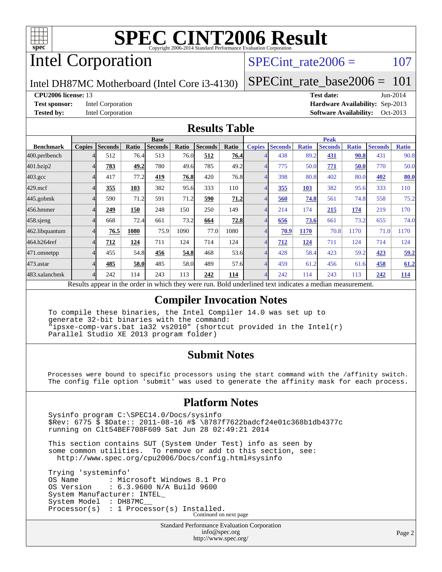

# Intel Corporation

SPECint rate $2006 = 107$ 

Intel DH87MC Motherboard (Intel Core i3-4130)

[SPECint\\_rate\\_base2006 =](http://www.spec.org/auto/cpu2006/Docs/result-fields.html#SPECintratebase2006) 101

#### **[CPU2006 license:](http://www.spec.org/auto/cpu2006/Docs/result-fields.html#CPU2006license)** 13 **[Test date:](http://www.spec.org/auto/cpu2006/Docs/result-fields.html#Testdate)** Jun-2014

**[Test sponsor:](http://www.spec.org/auto/cpu2006/Docs/result-fields.html#Testsponsor)** Intel Corporation **[Hardware Availability:](http://www.spec.org/auto/cpu2006/Docs/result-fields.html#HardwareAvailability)** Sep-2013 **[Tested by:](http://www.spec.org/auto/cpu2006/Docs/result-fields.html#Testedby)** Intel Corporation **[Software Availability:](http://www.spec.org/auto/cpu2006/Docs/result-fields.html#SoftwareAvailability)** Oct-2013

#### **[Results Table](http://www.spec.org/auto/cpu2006/Docs/result-fields.html#ResultsTable)**

| <b>Base</b>   |                |       |                |                                                      |                | <b>Peak</b>                                                  |               |                                                      |              |                                 |                                              |                |                                      |
|---------------|----------------|-------|----------------|------------------------------------------------------|----------------|--------------------------------------------------------------|---------------|------------------------------------------------------|--------------|---------------------------------|----------------------------------------------|----------------|--------------------------------------|
| <b>Copies</b> | <b>Seconds</b> | Ratio | <b>Seconds</b> | Ratio                                                | <b>Seconds</b> | Ratio                                                        | <b>Copies</b> | <b>Seconds</b>                                       | <b>Ratio</b> | <b>Seconds</b>                  | <b>Ratio</b>                                 | <b>Seconds</b> | <b>Ratio</b>                         |
|               | 512            |       | 513            |                                                      | 512            |                                                              |               | 438                                                  |              | 431                             |                                              | 431            | 90.8                                 |
|               | 783            |       | 780            |                                                      | 785            |                                                              |               | 775                                                  |              | 771                             |                                              | 770            | 50.0                                 |
|               | 417            |       | 419            |                                                      | 420            |                                                              |               | 398                                                  |              | 402                             | 80.0                                         | 402            | 80.0                                 |
|               | 355            | 103   | 382            |                                                      | 333            | 110                                                          |               | 355                                                  | 103          | 382                             |                                              | 333            | 110                                  |
|               | 590            |       | 591            |                                                      | 590            |                                                              |               | 560                                                  |              | 561                             |                                              | 558            | 75.2                                 |
|               | 249            | 150   | 248            | 150                                                  | 250            | 149                                                          |               | 214                                                  | 174          | 215                             | 174                                          | 219            | 170                                  |
|               | 668            |       | 661            |                                                      | 664            |                                                              |               | 656                                                  |              | 661                             | 73.2                                         | 655            | 74.0                                 |
|               | 76.5           | 1080  | 75.9           | 1090                                                 | 77.0           | 1080                                                         |               | 70.9                                                 | 1170         | 70.8                            | 1170                                         | 71.0           | 1170                                 |
|               | 712            | 124   | 711            | 124                                                  | 714            | 124                                                          |               | 712                                                  | 124          | 711                             | 124                                          | 714            | 124                                  |
|               | 455            |       | 456            |                                                      | 468            |                                                              |               | 428                                                  | 58.4         | 423                             | 59.2                                         | 423            | 59.2                                 |
|               | 485            |       | 485            |                                                      | 489            |                                                              |               | 459                                                  |              | 456                             |                                              | 458            | 61.2                                 |
|               | 242            | 114   | 243            | 113                                                  | 242            | 114                                                          |               | 242                                                  | 114          | 243                             | 113                                          | 242            | <u>114</u>                           |
| n.            |                |       |                | 76.4<br>49.2<br>77.2<br>71.2<br>72.4<br>54.8<br>58.0 | 1.1.1          | 76.0<br>49.6<br>76.8<br>95.6<br>71.2<br>73.2<br>54.8<br>58.0 |               | 76.4<br>49.2<br>76.8<br>71.2<br>72.8<br>53.6<br>57.6 |              | $\cdot$ $\cdot$ $\cdot$ $\cdot$ | 89.2<br>50.0<br>80.8<br>74.8<br>73.6<br>61.2 |                | 90.8<br>50.0<br>95.6<br>74.8<br>61.6 |

Results appear in the [order in which they were run.](http://www.spec.org/auto/cpu2006/Docs/result-fields.html#RunOrder) Bold underlined text [indicates a median measurement.](http://www.spec.org/auto/cpu2006/Docs/result-fields.html#Median)

#### **[Compiler Invocation Notes](http://www.spec.org/auto/cpu2006/Docs/result-fields.html#CompilerInvocationNotes)**

 To compile these binaries, the Intel Compiler 14.0 was set up to generate 32-bit binaries with the command: "ipsxe-comp-vars.bat ia32 vs2010" (shortcut provided in the Intel(r) Parallel Studio XE 2013 program folder)

#### **[Submit Notes](http://www.spec.org/auto/cpu2006/Docs/result-fields.html#SubmitNotes)**

 Processes were bound to specific processors using the start command with the /affinity switch. The config file option 'submit' was used to generate the affinity mask for each process.

#### **[Platform Notes](http://www.spec.org/auto/cpu2006/Docs/result-fields.html#PlatformNotes)**

 Sysinfo program C:\SPEC14.0/Docs/sysinfo \$Rev: 6775 \$ \$Date:: 2011-08-16 #\$ \8787f7622badcf24e01c368b1db4377c running on Clt54BEF708F609 Sat Jun 28 02:49:21 2014

 This section contains SUT (System Under Test) info as seen by some common utilities. To remove or add to this section, see: <http://www.spec.org/cpu2006/Docs/config.html#sysinfo>

 Trying 'systeminfo' OS Name : Microsoft Windows 8.1 Pro<br>OS Version : 6.3.9600 N/A Build 9600 : 6.3.9600 N/A Build 9600 System Manufacturer: INTEL\_ System Model : DH87MC\_\_ Processor(s) : 1 Processor(s) Installed. Continued on next page

> Standard Performance Evaluation Corporation [info@spec.org](mailto:info@spec.org) <http://www.spec.org/>

Page 2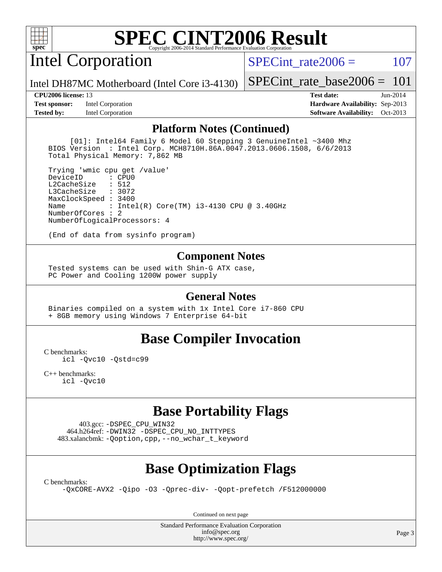

# Intel Corporation

SPECint rate $2006 = 107$ 

Intel DH87MC Motherboard (Intel Core i3-4130)

**[Test sponsor:](http://www.spec.org/auto/cpu2006/Docs/result-fields.html#Testsponsor)** Intel Corporation **[Hardware Availability:](http://www.spec.org/auto/cpu2006/Docs/result-fields.html#HardwareAvailability)** Sep-2013 **[Tested by:](http://www.spec.org/auto/cpu2006/Docs/result-fields.html#Testedby)** Intel Corporation **[Software Availability:](http://www.spec.org/auto/cpu2006/Docs/result-fields.html#SoftwareAvailability)** Oct-2013

[SPECint\\_rate\\_base2006 =](http://www.spec.org/auto/cpu2006/Docs/result-fields.html#SPECintratebase2006) 101 **[CPU2006 license:](http://www.spec.org/auto/cpu2006/Docs/result-fields.html#CPU2006license)** 13 **[Test date:](http://www.spec.org/auto/cpu2006/Docs/result-fields.html#Testdate)** Jun-2014

**[Platform Notes \(Continued\)](http://www.spec.org/auto/cpu2006/Docs/result-fields.html#PlatformNotes)**

 [01]: Intel64 Family 6 Model 60 Stepping 3 GenuineIntel ~3400 Mhz BIOS Version : Intel Corp. MCH8710H.86A.0047.2013.0606.1508, 6/6/2013 Total Physical Memory: 7,862 MB

 Trying 'wmic cpu get /value' DeviceID L2CacheSize : 512 L3CacheSize : 3072 MaxClockSpeed : 3400 Name : Intel(R) Core(TM) i3-4130 CPU @ 3.40GHz NumberOfCores : 2 NumberOfLogicalProcessors: 4

(End of data from sysinfo program)

#### **[Component Notes](http://www.spec.org/auto/cpu2006/Docs/result-fields.html#ComponentNotes)**

 Tested systems can be used with Shin-G ATX case, PC Power and Cooling 1200W power supply

#### **[General Notes](http://www.spec.org/auto/cpu2006/Docs/result-fields.html#GeneralNotes)**

 Binaries compiled on a system with 1x Intel Core i7-860 CPU + 8GB memory using Windows 7 Enterprise 64-bit

#### **[Base Compiler Invocation](http://www.spec.org/auto/cpu2006/Docs/result-fields.html#BaseCompilerInvocation)**

[C benchmarks](http://www.spec.org/auto/cpu2006/Docs/result-fields.html#Cbenchmarks):

[icl -Qvc10](http://www.spec.org/cpu2006/results/res2014q3/cpu2006-20140715-30444.flags.html#user_CCbase_intel_icc_vc10_9607f3ecbcdf68042245f068e51b40c1) [-Qstd=c99](http://www.spec.org/cpu2006/results/res2014q3/cpu2006-20140715-30444.flags.html#user_CCbase_intel_compiler_c99_mode_1a3d110e3041b3ad4466830521bdad2a)

[C++ benchmarks:](http://www.spec.org/auto/cpu2006/Docs/result-fields.html#CXXbenchmarks) [icl -Qvc10](http://www.spec.org/cpu2006/results/res2014q3/cpu2006-20140715-30444.flags.html#user_CXXbase_intel_icc_vc10_9607f3ecbcdf68042245f068e51b40c1)

### **[Base Portability Flags](http://www.spec.org/auto/cpu2006/Docs/result-fields.html#BasePortabilityFlags)**

 403.gcc: [-DSPEC\\_CPU\\_WIN32](http://www.spec.org/cpu2006/results/res2014q3/cpu2006-20140715-30444.flags.html#b403.gcc_baseCPORTABILITY_DSPEC_CPU_WIN32) 464.h264ref: [-DWIN32](http://www.spec.org/cpu2006/results/res2014q3/cpu2006-20140715-30444.flags.html#b464.h264ref_baseCPORTABILITY_DWIN32) [-DSPEC\\_CPU\\_NO\\_INTTYPES](http://www.spec.org/cpu2006/results/res2014q3/cpu2006-20140715-30444.flags.html#b464.h264ref_baseCPORTABILITY_DSPEC_CPU_NO_INTTYPES) 483.xalancbmk: [-Qoption,cpp,--no\\_wchar\\_t\\_keyword](http://www.spec.org/cpu2006/results/res2014q3/cpu2006-20140715-30444.flags.html#user_baseCXXPORTABILITY483_xalancbmk_f-no_wchar_t_keyword_ec0ad4495a16b4e858bfcb29d949d25d)

### **[Base Optimization Flags](http://www.spec.org/auto/cpu2006/Docs/result-fields.html#BaseOptimizationFlags)**

[C benchmarks](http://www.spec.org/auto/cpu2006/Docs/result-fields.html#Cbenchmarks):

[-QxCORE-AVX2](http://www.spec.org/cpu2006/results/res2014q3/cpu2006-20140715-30444.flags.html#user_CCbase_f-QxAVX2_f98716b5f9e905f99c943c56f21bf430) [-Qipo](http://www.spec.org/cpu2006/results/res2014q3/cpu2006-20140715-30444.flags.html#user_CCbase_f-Qipo) [-O3](http://www.spec.org/cpu2006/results/res2014q3/cpu2006-20140715-30444.flags.html#user_CCbase_f-O3) [-Qprec-div-](http://www.spec.org/cpu2006/results/res2014q3/cpu2006-20140715-30444.flags.html#user_CCbase_f-Qprec-div-) [-Qopt-prefetch](http://www.spec.org/cpu2006/results/res2014q3/cpu2006-20140715-30444.flags.html#user_CCbase_f-Qprefetch_37c211608666b9dff9380561f602f0a8) [/F512000000](http://www.spec.org/cpu2006/results/res2014q3/cpu2006-20140715-30444.flags.html#user_CCbase_set_stack_space_98438a10eb60aa5f35f4c79d9b9b27b1)

Continued on next page

Standard Performance Evaluation Corporation [info@spec.org](mailto:info@spec.org) <http://www.spec.org/>

Page 3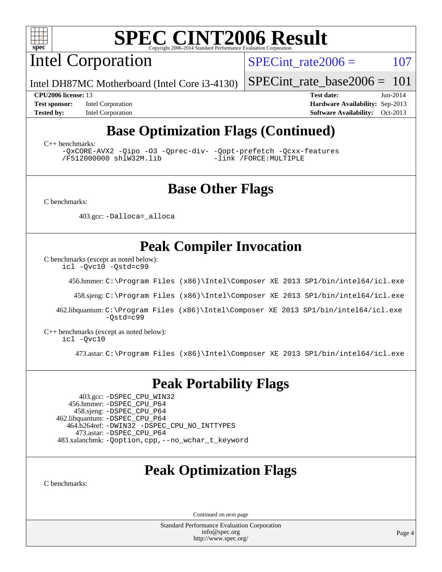

Intel Corporation

SPECint rate $2006 = 107$ 

[SPECint\\_rate\\_base2006 =](http://www.spec.org/auto/cpu2006/Docs/result-fields.html#SPECintratebase2006) 101

**[Test sponsor:](http://www.spec.org/auto/cpu2006/Docs/result-fields.html#Testsponsor)** Intel Corporation **[Hardware Availability:](http://www.spec.org/auto/cpu2006/Docs/result-fields.html#HardwareAvailability)** Sep-2013

**[CPU2006 license:](http://www.spec.org/auto/cpu2006/Docs/result-fields.html#CPU2006license)** 13 **[Test date:](http://www.spec.org/auto/cpu2006/Docs/result-fields.html#Testdate)** Jun-2014 **[Tested by:](http://www.spec.org/auto/cpu2006/Docs/result-fields.html#Testedby)** Intel Corporation **[Software Availability:](http://www.spec.org/auto/cpu2006/Docs/result-fields.html#SoftwareAvailability)** Oct-2013

## **[Base Optimization Flags \(Continued\)](http://www.spec.org/auto/cpu2006/Docs/result-fields.html#BaseOptimizationFlags)**

[C++ benchmarks:](http://www.spec.org/auto/cpu2006/Docs/result-fields.html#CXXbenchmarks)

[-QxCORE-AVX2](http://www.spec.org/cpu2006/results/res2014q3/cpu2006-20140715-30444.flags.html#user_CXXbase_f-QxAVX2_f98716b5f9e905f99c943c56f21bf430) [-Qipo](http://www.spec.org/cpu2006/results/res2014q3/cpu2006-20140715-30444.flags.html#user_CXXbase_f-Qipo) [-O3](http://www.spec.org/cpu2006/results/res2014q3/cpu2006-20140715-30444.flags.html#user_CXXbase_f-O3) [-Qprec-div-](http://www.spec.org/cpu2006/results/res2014q3/cpu2006-20140715-30444.flags.html#user_CXXbase_f-Qprec-div-) [-Qopt-prefetch](http://www.spec.org/cpu2006/results/res2014q3/cpu2006-20140715-30444.flags.html#user_CXXbase_f-Qprefetch_37c211608666b9dff9380561f602f0a8) [-Qcxx-features](http://www.spec.org/cpu2006/results/res2014q3/cpu2006-20140715-30444.flags.html#user_CXXbase_f-Qcxx_features_dbf36c8a6dba956e22f1645e4dcd4d98) [/F512000000](http://www.spec.org/cpu2006/results/res2014q3/cpu2006-20140715-30444.flags.html#user_CXXbase_set_stack_space_98438a10eb60aa5f35f4c79d9b9b27b1) [shlW32M.lib](http://www.spec.org/cpu2006/results/res2014q3/cpu2006-20140715-30444.flags.html#user_CXXbase_SmartHeap32_d106338dfda1a055705c9b519e07f096)

### **[Base Other Flags](http://www.spec.org/auto/cpu2006/Docs/result-fields.html#BaseOtherFlags)**

[C benchmarks](http://www.spec.org/auto/cpu2006/Docs/result-fields.html#Cbenchmarks):

403.gcc: [-Dalloca=\\_alloca](http://www.spec.org/cpu2006/results/res2014q3/cpu2006-20140715-30444.flags.html#b403.gcc_baseEXTRA_CFLAGS_Dalloca_be3056838c12de2578596ca5467af7f3)

Intel DH87MC Motherboard (Intel Core i3-4130)

### **[Peak Compiler Invocation](http://www.spec.org/auto/cpu2006/Docs/result-fields.html#PeakCompilerInvocation)**

[C benchmarks \(except as noted below\)](http://www.spec.org/auto/cpu2006/Docs/result-fields.html#Cbenchmarksexceptasnotedbelow):

[icl -Qvc10](http://www.spec.org/cpu2006/results/res2014q3/cpu2006-20140715-30444.flags.html#user_CCpeak_intel_icc_vc10_9607f3ecbcdf68042245f068e51b40c1) [-Qstd=c99](http://www.spec.org/cpu2006/results/res2014q3/cpu2006-20140715-30444.flags.html#user_CCpeak_intel_compiler_c99_mode_1a3d110e3041b3ad4466830521bdad2a)

456.hmmer: [C:\Program Files \(x86\)\Intel\Composer XE 2013 SP1/bin/intel64/icl.exe](http://www.spec.org/cpu2006/results/res2014q3/cpu2006-20140715-30444.flags.html#user_peakCCLD456_hmmer_intel_icc_64bit_f549ed431576093dccb075b890b96ee2)

458.sjeng: [C:\Program Files \(x86\)\Intel\Composer XE 2013 SP1/bin/intel64/icl.exe](http://www.spec.org/cpu2006/results/res2014q3/cpu2006-20140715-30444.flags.html#user_peakCCLD458_sjeng_intel_icc_64bit_f549ed431576093dccb075b890b96ee2)

 462.libquantum: [C:\Program Files \(x86\)\Intel\Composer XE 2013 SP1/bin/intel64/icl.exe](http://www.spec.org/cpu2006/results/res2014q3/cpu2006-20140715-30444.flags.html#user_peakCCLD462_libquantum_intel_icc_64bit_f549ed431576093dccb075b890b96ee2) [-Qstd=c99](http://www.spec.org/cpu2006/results/res2014q3/cpu2006-20140715-30444.flags.html#user_peakCCLD462_libquantum_intel_compiler_c99_mode_1a3d110e3041b3ad4466830521bdad2a)

[C++ benchmarks \(except as noted below\):](http://www.spec.org/auto/cpu2006/Docs/result-fields.html#CXXbenchmarksexceptasnotedbelow) [icl -Qvc10](http://www.spec.org/cpu2006/results/res2014q3/cpu2006-20140715-30444.flags.html#user_CXXpeak_intel_icc_vc10_9607f3ecbcdf68042245f068e51b40c1)

473.astar: [C:\Program Files \(x86\)\Intel\Composer XE 2013 SP1/bin/intel64/icl.exe](http://www.spec.org/cpu2006/results/res2014q3/cpu2006-20140715-30444.flags.html#user_peakCXXLD473_astar_intel_icc_64bit_f549ed431576093dccb075b890b96ee2)

#### **[Peak Portability Flags](http://www.spec.org/auto/cpu2006/Docs/result-fields.html#PeakPortabilityFlags)**

 403.gcc: [-DSPEC\\_CPU\\_WIN32](http://www.spec.org/cpu2006/results/res2014q3/cpu2006-20140715-30444.flags.html#b403.gcc_peakCPORTABILITY_DSPEC_CPU_WIN32) 456.hmmer: [-DSPEC\\_CPU\\_P64](http://www.spec.org/cpu2006/results/res2014q3/cpu2006-20140715-30444.flags.html#suite_peakPORTABILITY456_hmmer_DSPEC_CPU_P64) 458.sjeng: [-DSPEC\\_CPU\\_P64](http://www.spec.org/cpu2006/results/res2014q3/cpu2006-20140715-30444.flags.html#suite_peakPORTABILITY458_sjeng_DSPEC_CPU_P64) 462.libquantum: [-DSPEC\\_CPU\\_P64](http://www.spec.org/cpu2006/results/res2014q3/cpu2006-20140715-30444.flags.html#suite_peakPORTABILITY462_libquantum_DSPEC_CPU_P64) 464.h264ref: [-DWIN32](http://www.spec.org/cpu2006/results/res2014q3/cpu2006-20140715-30444.flags.html#b464.h264ref_peakCPORTABILITY_DWIN32) [-DSPEC\\_CPU\\_NO\\_INTTYPES](http://www.spec.org/cpu2006/results/res2014q3/cpu2006-20140715-30444.flags.html#b464.h264ref_peakCPORTABILITY_DSPEC_CPU_NO_INTTYPES) 473.astar: [-DSPEC\\_CPU\\_P64](http://www.spec.org/cpu2006/results/res2014q3/cpu2006-20140715-30444.flags.html#suite_peakPORTABILITY473_astar_DSPEC_CPU_P64) 483.xalancbmk: [-Qoption,cpp,--no\\_wchar\\_t\\_keyword](http://www.spec.org/cpu2006/results/res2014q3/cpu2006-20140715-30444.flags.html#user_peakCXXPORTABILITY483_xalancbmk_f-no_wchar_t_keyword_ec0ad4495a16b4e858bfcb29d949d25d)

### **[Peak Optimization Flags](http://www.spec.org/auto/cpu2006/Docs/result-fields.html#PeakOptimizationFlags)**

[C benchmarks](http://www.spec.org/auto/cpu2006/Docs/result-fields.html#Cbenchmarks):

Continued on next page

Standard Performance Evaluation Corporation [info@spec.org](mailto:info@spec.org) <http://www.spec.org/>

Page 4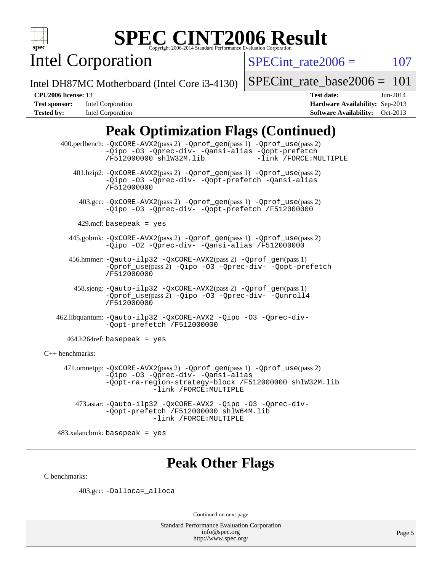

Intel Corporation

SPECint rate $2006 = 107$ 

Intel DH87MC Motherboard (Intel Core i3-4130)

[SPECint\\_rate\\_base2006 =](http://www.spec.org/auto/cpu2006/Docs/result-fields.html#SPECintratebase2006) 101

**[Tested by:](http://www.spec.org/auto/cpu2006/Docs/result-fields.html#Testedby)** Intel Corporation **[Software Availability:](http://www.spec.org/auto/cpu2006/Docs/result-fields.html#SoftwareAvailability)** Oct-2013

**[CPU2006 license:](http://www.spec.org/auto/cpu2006/Docs/result-fields.html#CPU2006license)** 13 **[Test date:](http://www.spec.org/auto/cpu2006/Docs/result-fields.html#Testdate)** Jun-2014 **[Test sponsor:](http://www.spec.org/auto/cpu2006/Docs/result-fields.html#Testsponsor)** Intel Corporation **[Hardware Availability:](http://www.spec.org/auto/cpu2006/Docs/result-fields.html#HardwareAvailability)** Sep-2013

# **[Peak Optimization Flags \(Continued\)](http://www.spec.org/auto/cpu2006/Docs/result-fields.html#PeakOptimizationFlags)**

 400.perlbench: [-QxCORE-AVX2](http://www.spec.org/cpu2006/results/res2014q3/cpu2006-20140715-30444.flags.html#user_peakPASS2_CFLAGSPASS2_LDFLAGS400_perlbench_f-QxAVX2_f98716b5f9e905f99c943c56f21bf430)(pass 2) [-Qprof\\_gen](http://www.spec.org/cpu2006/results/res2014q3/cpu2006-20140715-30444.flags.html#user_peakPASS1_CFLAGSPASS1_LDFLAGS400_perlbench_Qprof_gen)(pass 1) [-Qprof\\_use](http://www.spec.org/cpu2006/results/res2014q3/cpu2006-20140715-30444.flags.html#user_peakPASS2_CFLAGSPASS2_LDFLAGS400_perlbench_Qprof_use)(pass 2) [-Qipo](http://www.spec.org/cpu2006/results/res2014q3/cpu2006-20140715-30444.flags.html#user_peakOPTIMIZE400_perlbench_f-Qipo) [-O3](http://www.spec.org/cpu2006/results/res2014q3/cpu2006-20140715-30444.flags.html#user_peakOPTIMIZE400_perlbench_f-O3) [-Qprec-div-](http://www.spec.org/cpu2006/results/res2014q3/cpu2006-20140715-30444.flags.html#user_peakOPTIMIZE400_perlbench_f-Qprec-div-) [-Qansi-alias](http://www.spec.org/cpu2006/results/res2014q3/cpu2006-20140715-30444.flags.html#user_peakOPTIMIZE400_perlbench_f-Qansi-alias) [-Qopt-prefetch](http://www.spec.org/cpu2006/results/res2014q3/cpu2006-20140715-30444.flags.html#user_peakOPTIMIZE400_perlbench_f-Qprefetch_37c211608666b9dff9380561f602f0a8) [/F512000000](http://www.spec.org/cpu2006/results/res2014q3/cpu2006-20140715-30444.flags.html#user_peakEXTRA_LDFLAGS400_perlbench_set_stack_space_98438a10eb60aa5f35f4c79d9b9b27b1) [shlW32M.lib](http://www.spec.org/cpu2006/results/res2014q3/cpu2006-20140715-30444.flags.html#user_peakEXTRA_LIBS400_perlbench_SmartHeap32_d106338dfda1a055705c9b519e07f096) 401.bzip2: [-QxCORE-AVX2](http://www.spec.org/cpu2006/results/res2014q3/cpu2006-20140715-30444.flags.html#user_peakPASS2_CFLAGSPASS2_LDFLAGS401_bzip2_f-QxAVX2_f98716b5f9e905f99c943c56f21bf430)(pass 2) [-Qprof\\_gen](http://www.spec.org/cpu2006/results/res2014q3/cpu2006-20140715-30444.flags.html#user_peakPASS1_CFLAGSPASS1_LDFLAGS401_bzip2_Qprof_gen)(pass 1) [-Qprof\\_use](http://www.spec.org/cpu2006/results/res2014q3/cpu2006-20140715-30444.flags.html#user_peakPASS2_CFLAGSPASS2_LDFLAGS401_bzip2_Qprof_use)(pass 2) [-Qipo](http://www.spec.org/cpu2006/results/res2014q3/cpu2006-20140715-30444.flags.html#user_peakOPTIMIZE401_bzip2_f-Qipo) [-O3](http://www.spec.org/cpu2006/results/res2014q3/cpu2006-20140715-30444.flags.html#user_peakOPTIMIZE401_bzip2_f-O3) [-Qprec-div-](http://www.spec.org/cpu2006/results/res2014q3/cpu2006-20140715-30444.flags.html#user_peakOPTIMIZE401_bzip2_f-Qprec-div-) [-Qopt-prefetch](http://www.spec.org/cpu2006/results/res2014q3/cpu2006-20140715-30444.flags.html#user_peakOPTIMIZE401_bzip2_f-Qprefetch_37c211608666b9dff9380561f602f0a8) [-Qansi-alias](http://www.spec.org/cpu2006/results/res2014q3/cpu2006-20140715-30444.flags.html#user_peakOPTIMIZE401_bzip2_f-Qansi-alias) [/F512000000](http://www.spec.org/cpu2006/results/res2014q3/cpu2006-20140715-30444.flags.html#user_peakEXTRA_LDFLAGS401_bzip2_set_stack_space_98438a10eb60aa5f35f4c79d9b9b27b1) 403.gcc: [-QxCORE-AVX2](http://www.spec.org/cpu2006/results/res2014q3/cpu2006-20140715-30444.flags.html#user_peakPASS2_CFLAGSPASS2_LDFLAGS403_gcc_f-QxAVX2_f98716b5f9e905f99c943c56f21bf430)(pass 2) [-Qprof\\_gen](http://www.spec.org/cpu2006/results/res2014q3/cpu2006-20140715-30444.flags.html#user_peakPASS1_CFLAGSPASS1_LDFLAGS403_gcc_Qprof_gen)(pass 1) [-Qprof\\_use](http://www.spec.org/cpu2006/results/res2014q3/cpu2006-20140715-30444.flags.html#user_peakPASS2_CFLAGSPASS2_LDFLAGS403_gcc_Qprof_use)(pass 2) [-Qipo](http://www.spec.org/cpu2006/results/res2014q3/cpu2006-20140715-30444.flags.html#user_peakOPTIMIZE403_gcc_f-Qipo) [-O3](http://www.spec.org/cpu2006/results/res2014q3/cpu2006-20140715-30444.flags.html#user_peakOPTIMIZE403_gcc_f-O3) [-Qprec-div-](http://www.spec.org/cpu2006/results/res2014q3/cpu2006-20140715-30444.flags.html#user_peakOPTIMIZE403_gcc_f-Qprec-div-) [-Qopt-prefetch](http://www.spec.org/cpu2006/results/res2014q3/cpu2006-20140715-30444.flags.html#user_peakOPTIMIZE403_gcc_f-Qprefetch_37c211608666b9dff9380561f602f0a8) [/F512000000](http://www.spec.org/cpu2006/results/res2014q3/cpu2006-20140715-30444.flags.html#user_peakEXTRA_LDFLAGS403_gcc_set_stack_space_98438a10eb60aa5f35f4c79d9b9b27b1)  $429$ .mcf: basepeak = yes 445.gobmk: [-QxCORE-AVX2](http://www.spec.org/cpu2006/results/res2014q3/cpu2006-20140715-30444.flags.html#user_peakPASS2_CFLAGSPASS2_LDFLAGS445_gobmk_f-QxAVX2_f98716b5f9e905f99c943c56f21bf430)(pass 2) [-Qprof\\_gen](http://www.spec.org/cpu2006/results/res2014q3/cpu2006-20140715-30444.flags.html#user_peakPASS1_CFLAGSPASS1_LDFLAGS445_gobmk_Qprof_gen)(pass 1) [-Qprof\\_use](http://www.spec.org/cpu2006/results/res2014q3/cpu2006-20140715-30444.flags.html#user_peakPASS2_CFLAGSPASS2_LDFLAGS445_gobmk_Qprof_use)(pass 2) [-Qipo](http://www.spec.org/cpu2006/results/res2014q3/cpu2006-20140715-30444.flags.html#user_peakOPTIMIZE445_gobmk_f-Qipo) [-O2](http://www.spec.org/cpu2006/results/res2014q3/cpu2006-20140715-30444.flags.html#user_peakOPTIMIZE445_gobmk_f-O2) [-Qprec-div-](http://www.spec.org/cpu2006/results/res2014q3/cpu2006-20140715-30444.flags.html#user_peakOPTIMIZE445_gobmk_f-Qprec-div-) [-Qansi-alias](http://www.spec.org/cpu2006/results/res2014q3/cpu2006-20140715-30444.flags.html#user_peakOPTIMIZE445_gobmk_f-Qansi-alias) [/F512000000](http://www.spec.org/cpu2006/results/res2014q3/cpu2006-20140715-30444.flags.html#user_peakEXTRA_LDFLAGS445_gobmk_set_stack_space_98438a10eb60aa5f35f4c79d9b9b27b1) 456.hmmer: [-Qauto-ilp32](http://www.spec.org/cpu2006/results/res2014q3/cpu2006-20140715-30444.flags.html#user_peakCCLD456_hmmer_f-Qauto-ilp32) [-QxCORE-AVX2](http://www.spec.org/cpu2006/results/res2014q3/cpu2006-20140715-30444.flags.html#user_peakPASS2_CFLAGSPASS2_LDFLAGS456_hmmer_f-QxAVX2_f98716b5f9e905f99c943c56f21bf430)(pass 2) [-Qprof\\_gen](http://www.spec.org/cpu2006/results/res2014q3/cpu2006-20140715-30444.flags.html#user_peakPASS1_CFLAGSPASS1_LDFLAGS456_hmmer_Qprof_gen)(pass 1) [-Qprof\\_use](http://www.spec.org/cpu2006/results/res2014q3/cpu2006-20140715-30444.flags.html#user_peakPASS2_CFLAGSPASS2_LDFLAGS456_hmmer_Qprof_use)(pass 2) [-Qipo](http://www.spec.org/cpu2006/results/res2014q3/cpu2006-20140715-30444.flags.html#user_peakOPTIMIZE456_hmmer_f-Qipo) [-O3](http://www.spec.org/cpu2006/results/res2014q3/cpu2006-20140715-30444.flags.html#user_peakOPTIMIZE456_hmmer_f-O3) [-Qprec-div-](http://www.spec.org/cpu2006/results/res2014q3/cpu2006-20140715-30444.flags.html#user_peakOPTIMIZE456_hmmer_f-Qprec-div-) [-Qopt-prefetch](http://www.spec.org/cpu2006/results/res2014q3/cpu2006-20140715-30444.flags.html#user_peakOPTIMIZE456_hmmer_f-Qprefetch_37c211608666b9dff9380561f602f0a8) [/F512000000](http://www.spec.org/cpu2006/results/res2014q3/cpu2006-20140715-30444.flags.html#user_peakEXTRA_LDFLAGS456_hmmer_set_stack_space_98438a10eb60aa5f35f4c79d9b9b27b1) 458.sjeng: [-Qauto-ilp32](http://www.spec.org/cpu2006/results/res2014q3/cpu2006-20140715-30444.flags.html#user_peakCCLD458_sjeng_f-Qauto-ilp32) [-QxCORE-AVX2](http://www.spec.org/cpu2006/results/res2014q3/cpu2006-20140715-30444.flags.html#user_peakPASS2_CFLAGSPASS2_LDFLAGS458_sjeng_f-QxAVX2_f98716b5f9e905f99c943c56f21bf430)(pass 2) [-Qprof\\_gen](http://www.spec.org/cpu2006/results/res2014q3/cpu2006-20140715-30444.flags.html#user_peakPASS1_CFLAGSPASS1_LDFLAGS458_sjeng_Qprof_gen)(pass 1) [-Qprof\\_use](http://www.spec.org/cpu2006/results/res2014q3/cpu2006-20140715-30444.flags.html#user_peakPASS2_CFLAGSPASS2_LDFLAGS458_sjeng_Qprof_use)(pass 2) [-Qipo](http://www.spec.org/cpu2006/results/res2014q3/cpu2006-20140715-30444.flags.html#user_peakOPTIMIZE458_sjeng_f-Qipo) [-O3](http://www.spec.org/cpu2006/results/res2014q3/cpu2006-20140715-30444.flags.html#user_peakOPTIMIZE458_sjeng_f-O3) [-Qprec-div-](http://www.spec.org/cpu2006/results/res2014q3/cpu2006-20140715-30444.flags.html#user_peakOPTIMIZE458_sjeng_f-Qprec-div-) [-Qunroll4](http://www.spec.org/cpu2006/results/res2014q3/cpu2006-20140715-30444.flags.html#user_peakOPTIMIZE458_sjeng_f-Qunroll_013b1c0ea3aa84ef2c65e488bcc3d968) [/F512000000](http://www.spec.org/cpu2006/results/res2014q3/cpu2006-20140715-30444.flags.html#user_peakEXTRA_LDFLAGS458_sjeng_set_stack_space_98438a10eb60aa5f35f4c79d9b9b27b1) 462.libquantum: [-Qauto-ilp32](http://www.spec.org/cpu2006/results/res2014q3/cpu2006-20140715-30444.flags.html#user_peakCCLD462_libquantum_f-Qauto-ilp32) [-QxCORE-AVX2](http://www.spec.org/cpu2006/results/res2014q3/cpu2006-20140715-30444.flags.html#user_peakOPTIMIZE462_libquantum_f-QxAVX2_f98716b5f9e905f99c943c56f21bf430) [-Qipo](http://www.spec.org/cpu2006/results/res2014q3/cpu2006-20140715-30444.flags.html#user_peakOPTIMIZE462_libquantum_f-Qipo) [-O3](http://www.spec.org/cpu2006/results/res2014q3/cpu2006-20140715-30444.flags.html#user_peakOPTIMIZE462_libquantum_f-O3) [-Qprec-div-](http://www.spec.org/cpu2006/results/res2014q3/cpu2006-20140715-30444.flags.html#user_peakOPTIMIZE462_libquantum_f-Qprec-div-) [-Qopt-prefetch](http://www.spec.org/cpu2006/results/res2014q3/cpu2006-20140715-30444.flags.html#user_peakOPTIMIZE462_libquantum_f-Qprefetch_37c211608666b9dff9380561f602f0a8) [/F512000000](http://www.spec.org/cpu2006/results/res2014q3/cpu2006-20140715-30444.flags.html#user_peakEXTRA_LDFLAGS462_libquantum_set_stack_space_98438a10eb60aa5f35f4c79d9b9b27b1)  $464.h264$ ref: basepeak = yes [C++ benchmarks:](http://www.spec.org/auto/cpu2006/Docs/result-fields.html#CXXbenchmarks) 471.omnetpp: [-QxCORE-AVX2](http://www.spec.org/cpu2006/results/res2014q3/cpu2006-20140715-30444.flags.html#user_peakPASS2_CXXFLAGSPASS2_LDFLAGS471_omnetpp_f-QxAVX2_f98716b5f9e905f99c943c56f21bf430)(pass 2) [-Qprof\\_gen](http://www.spec.org/cpu2006/results/res2014q3/cpu2006-20140715-30444.flags.html#user_peakPASS1_CXXFLAGSPASS1_LDFLAGS471_omnetpp_Qprof_gen)(pass 1) [-Qprof\\_use](http://www.spec.org/cpu2006/results/res2014q3/cpu2006-20140715-30444.flags.html#user_peakPASS2_CXXFLAGSPASS2_LDFLAGS471_omnetpp_Qprof_use)(pass 2) [-Qipo](http://www.spec.org/cpu2006/results/res2014q3/cpu2006-20140715-30444.flags.html#user_peakOPTIMIZE471_omnetpp_f-Qipo) [-O3](http://www.spec.org/cpu2006/results/res2014q3/cpu2006-20140715-30444.flags.html#user_peakOPTIMIZE471_omnetpp_f-O3) [-Qprec-div-](http://www.spec.org/cpu2006/results/res2014q3/cpu2006-20140715-30444.flags.html#user_peakOPTIMIZE471_omnetpp_f-Qprec-div-) [-Qansi-alias](http://www.spec.org/cpu2006/results/res2014q3/cpu2006-20140715-30444.flags.html#user_peakOPTIMIZE471_omnetpp_f-Qansi-alias) [-Qopt-ra-region-strategy=block](http://www.spec.org/cpu2006/results/res2014q3/cpu2006-20140715-30444.flags.html#user_peakOPTIMIZE471_omnetpp_f-Qopt-ra-region-strategy_d2240e80a5d9053a1fd400255dbf4159) [/F512000000](http://www.spec.org/cpu2006/results/res2014q3/cpu2006-20140715-30444.flags.html#user_peakEXTRA_LDFLAGS471_omnetpp_set_stack_space_98438a10eb60aa5f35f4c79d9b9b27b1) [shlW32M.lib](http://www.spec.org/cpu2006/results/res2014q3/cpu2006-20140715-30444.flags.html#user_peakEXTRA_LIBS471_omnetpp_SmartHeap32_d106338dfda1a055705c9b519e07f096)  [-link /FORCE:MULTIPLE](http://www.spec.org/cpu2006/results/res2014q3/cpu2006-20140715-30444.flags.html#user_peakLDOUT471_omnetpp_link_force_multiple2_070fe330869edf77077b841074b8b0b6) 473.astar: [-Qauto-ilp32](http://www.spec.org/cpu2006/results/res2014q3/cpu2006-20140715-30444.flags.html#user_peakCXXLD473_astar_f-Qauto-ilp32) [-QxCORE-AVX2](http://www.spec.org/cpu2006/results/res2014q3/cpu2006-20140715-30444.flags.html#user_peakOPTIMIZE473_astar_f-QxAVX2_f98716b5f9e905f99c943c56f21bf430) [-Qipo](http://www.spec.org/cpu2006/results/res2014q3/cpu2006-20140715-30444.flags.html#user_peakOPTIMIZE473_astar_f-Qipo) [-O3](http://www.spec.org/cpu2006/results/res2014q3/cpu2006-20140715-30444.flags.html#user_peakOPTIMIZE473_astar_f-O3) [-Qprec-div-](http://www.spec.org/cpu2006/results/res2014q3/cpu2006-20140715-30444.flags.html#user_peakOPTIMIZE473_astar_f-Qprec-div-) [-Qopt-prefetch](http://www.spec.org/cpu2006/results/res2014q3/cpu2006-20140715-30444.flags.html#user_peakOPTIMIZE473_astar_f-Qprefetch_37c211608666b9dff9380561f602f0a8) [/F512000000](http://www.spec.org/cpu2006/results/res2014q3/cpu2006-20140715-30444.flags.html#user_peakEXTRA_LDFLAGS473_astar_set_stack_space_98438a10eb60aa5f35f4c79d9b9b27b1) [shlW64M.lib](http://www.spec.org/cpu2006/results/res2014q3/cpu2006-20140715-30444.flags.html#user_peakEXTRA_LIBS473_astar_SmartHeap64_c4f7f76711bdf8c0633a5c1edf6e5396)  [-link /FORCE:MULTIPLE](http://www.spec.org/cpu2006/results/res2014q3/cpu2006-20140715-30444.flags.html#user_peakLDOUT473_astar_link_force_multiple2_070fe330869edf77077b841074b8b0b6)

483.xalancbmk: basepeak = yes

### **[Peak Other Flags](http://www.spec.org/auto/cpu2006/Docs/result-fields.html#PeakOtherFlags)**

[C benchmarks](http://www.spec.org/auto/cpu2006/Docs/result-fields.html#Cbenchmarks):

403.gcc: [-Dalloca=\\_alloca](http://www.spec.org/cpu2006/results/res2014q3/cpu2006-20140715-30444.flags.html#b403.gcc_peakEXTRA_CFLAGS_Dalloca_be3056838c12de2578596ca5467af7f3)

Continued on next page

Standard Performance Evaluation Corporation [info@spec.org](mailto:info@spec.org) <http://www.spec.org/>